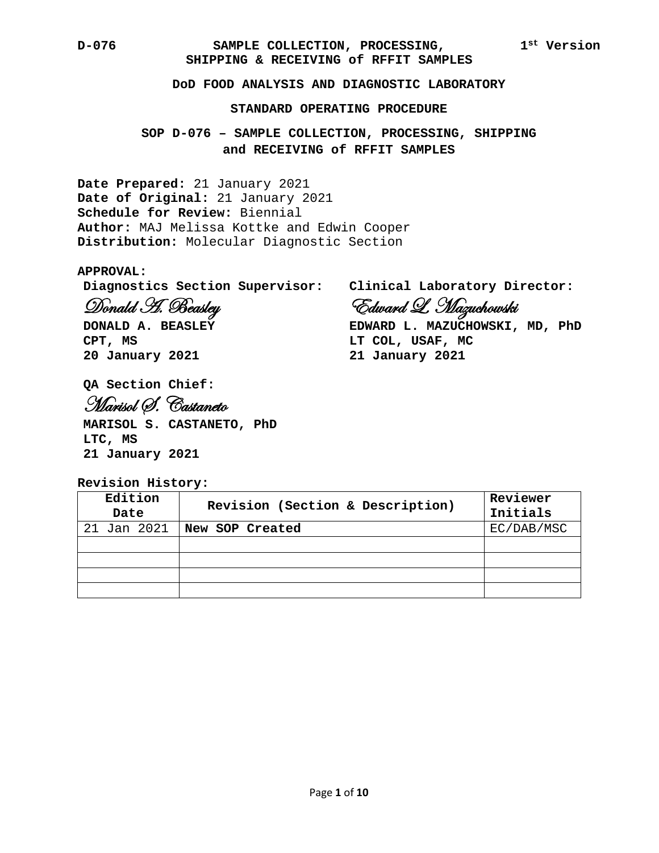#### **DoD FOOD ANALYSIS AND DIAGNOSTIC LABORATORY**

#### **STANDARD OPERATING PROCEDURE**

# **SOP D-076 – SAMPLE COLLECTION, PROCESSING, SHIPPING and RECEIVING of RFFIT SAMPLES**

**Date Prepared:** 21 January 2021 **Date of Original:** 21 January 2021 **Schedule for Review:** Biennial **Author:** MAJ Melissa Kottke and Edwin Cooper **Distribution:** Molecular Diagnostic Section

#### **APPROVAL:**

**Diagnostics Section Supervisor:**

Donald A. Beasley

**DONALD A. BEASLEY CPT, MS 20 January 2021**

**Clinical Laboratory Director:**

Edward L. Mazuchowski

**EDWARD L. MAZUCHOWSKI, MD, PhD LT COL, USAF, MC 21 January 2021**

**QA Section Chief:** Marisol S. Castaneto **MARISOL S. CASTANETO, PhD LTC, MS 21 January 2021**

### **Revision History:**

| Edition<br>Date | Revision (Section & Description) | Reviewer<br>Initials |
|-----------------|----------------------------------|----------------------|
| 21 Jan 2021     | New SOP Created                  | EC/DAB/MSC           |
|                 |                                  |                      |
|                 |                                  |                      |
|                 |                                  |                      |
|                 |                                  |                      |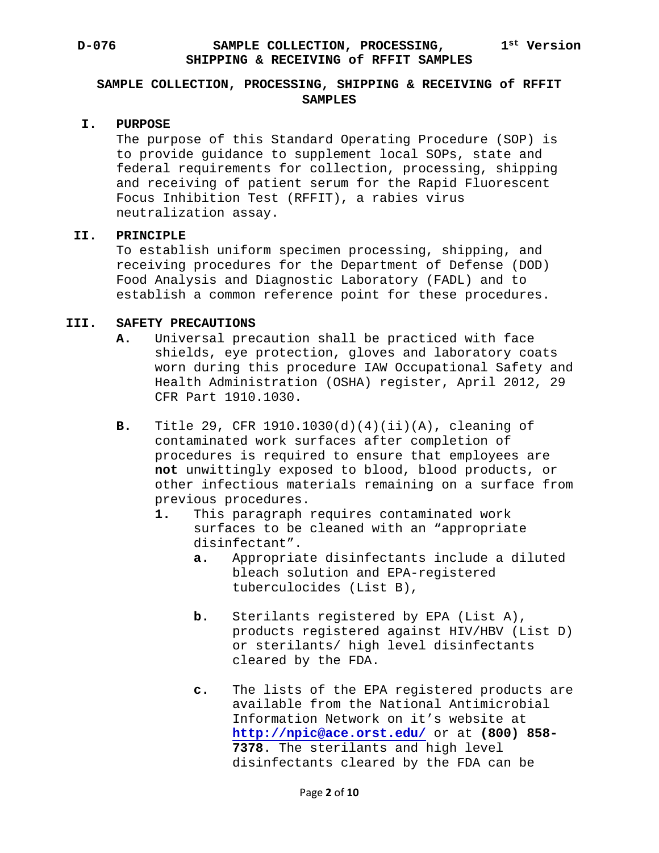### **SAMPLE COLLECTION, PROCESSING, SHIPPING & RECEIVING of RFFIT SAMPLES**

### **I. PURPOSE**

The purpose of this Standard Operating Procedure (SOP) is to provide guidance to supplement local SOPs, state and federal requirements for collection, processing, shipping and receiving of patient serum for the Rapid Fluorescent Focus Inhibition Test (RFFIT), a rabies virus neutralization assay.

#### **II. PRINCIPLE**

To establish uniform specimen processing, shipping, and receiving procedures for the Department of Defense (DOD) Food Analysis and Diagnostic Laboratory (FADL) and to establish a common reference point for these procedures.

#### **III. SAFETY PRECAUTIONS**

- **A.** Universal precaution shall be practiced with face shields, eye protection, gloves and laboratory coats worn during this procedure IAW Occupational Safety and Health Administration (OSHA) register, April 2012, 29 CFR Part 1910.1030.
- **B.** Title 29, CFR 1910.1030(d)(4)(ii)(A), cleaning of contaminated work surfaces after completion of procedures is required to ensure that employees are **not** unwittingly exposed to blood, blood products, or other infectious materials remaining on a surface from previous procedures.<br>1. This paragraph
	- **1.** This paragraph requires contaminated work surfaces to be cleaned with an "appropriate disinfectant".
		- **a.** Appropriate disinfectants include a diluted bleach solution and EPA-registered tuberculocides (List B),
		- **b.** Sterilants registered by EPA (List A), products registered against HIV/HBV (List D) or sterilants/ high level disinfectants cleared by the FDA.
		- **c.** The lists of the EPA registered products are available from the National Antimicrobial Information Network on it's website at **<http://npic@ace.orst.edu/>** or at **(800) 858- 7378**. The sterilants and high level disinfectants cleared by the FDA can be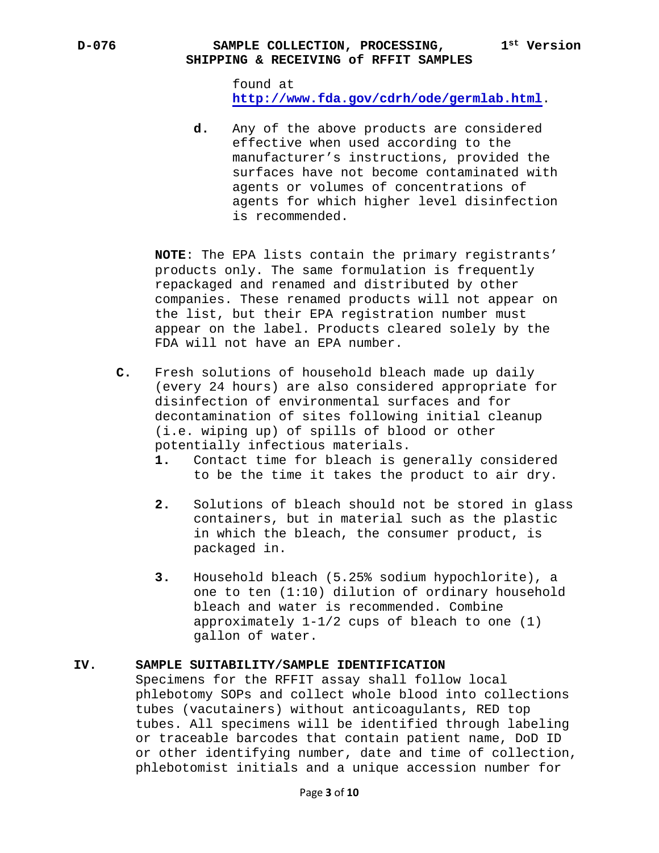found at **<http://www.fda.gov/cdrh/ode/germlab.html>**.

**d.** Any of the above products are considered effective when used according to the manufacturer's instructions, provided the surfaces have not become contaminated with agents or volumes of concentrations of agents for which higher level disinfection is recommended.

**NOTE**: The EPA lists contain the primary registrants' products only. The same formulation is frequently repackaged and renamed and distributed by other companies. These renamed products will not appear on the list, but their EPA registration number must appear on the label. Products cleared solely by the FDA will not have an EPA number.

- **C.** Fresh solutions of household bleach made up daily (every 24 hours) are also considered appropriate for disinfection of environmental surfaces and for decontamination of sites following initial cleanup (i.e. wiping up) of spills of blood or other potentially infectious materials.<br>1. Contact time for bleach is q
	- **1.** Contact time for bleach is generally considered to be the time it takes the product to air dry.
	- **2.** Solutions of bleach should not be stored in glass containers, but in material such as the plastic in which the bleach, the consumer product, is packaged in.
	- **3.** Household bleach (5.25% sodium hypochlorite), a one to ten (1:10) dilution of ordinary household bleach and water is recommended. Combine approximately 1-1/2 cups of bleach to one (1) gallon of water.

#### **IV. SAMPLE SUITABILITY/SAMPLE IDENTIFICATION**

Specimens for the RFFIT assay shall follow local phlebotomy SOPs and collect whole blood into collections tubes (vacutainers) without anticoagulants, RED top tubes. All specimens will be identified through labeling or traceable barcodes that contain patient name, DoD ID or other identifying number, date and time of collection, phlebotomist initials and a unique accession number for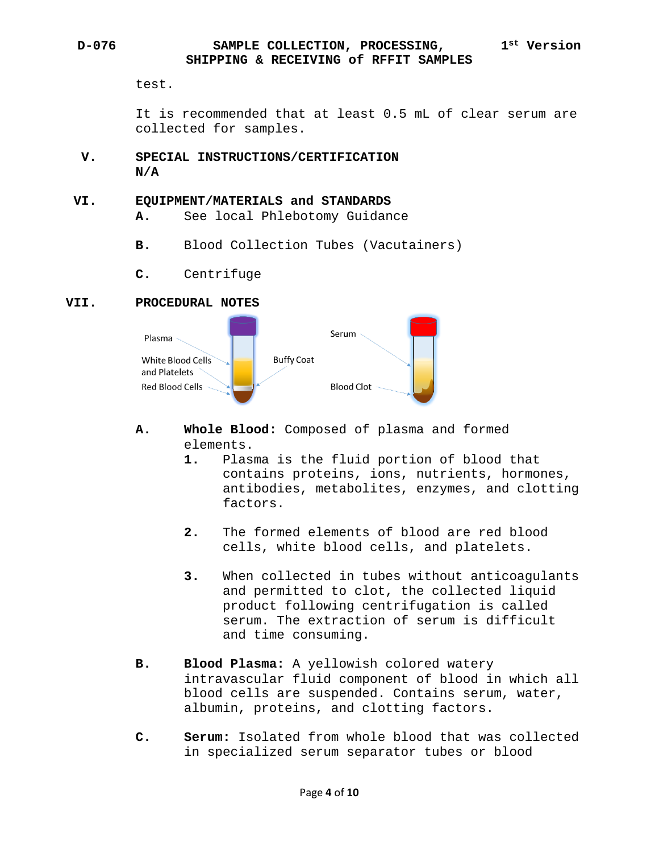test.

It is recommended that at least 0.5 mL of clear serum are collected for samples.

- **V. SPECIAL INSTRUCTIONS/CERTIFICATION N/A**
- **VI. EQUIPMENT/MATERIALS and STANDARDS**
	- **A.** See local Phlebotomy Guidance
	- **B.** Blood Collection Tubes (Vacutainers)
	- **C.** Centrifuge

### **VII. PROCEDURAL NOTES**



- **A. Whole Blood:** Composed of plasma and formed elements.<br>**1.** Plasm
	- **1.** Plasma is the fluid portion of blood that contains proteins, ions, nutrients, hormones, antibodies, metabolites, enzymes, and clotting factors.
	- **2.** The formed elements of blood are red blood cells, white blood cells, and platelets.
	- **3.** When collected in tubes without anticoagulants and permitted to clot, the collected liquid product following centrifugation is called serum. The extraction of serum is difficult and time consuming.
- **B. Blood Plasma:** A yellowish colored watery intravascular fluid component of blood in which all blood cells are suspended. Contains serum, water, albumin, proteins, and clotting factors.
- **C. Serum:** Isolated from whole blood that was collected in specialized serum separator tubes or blood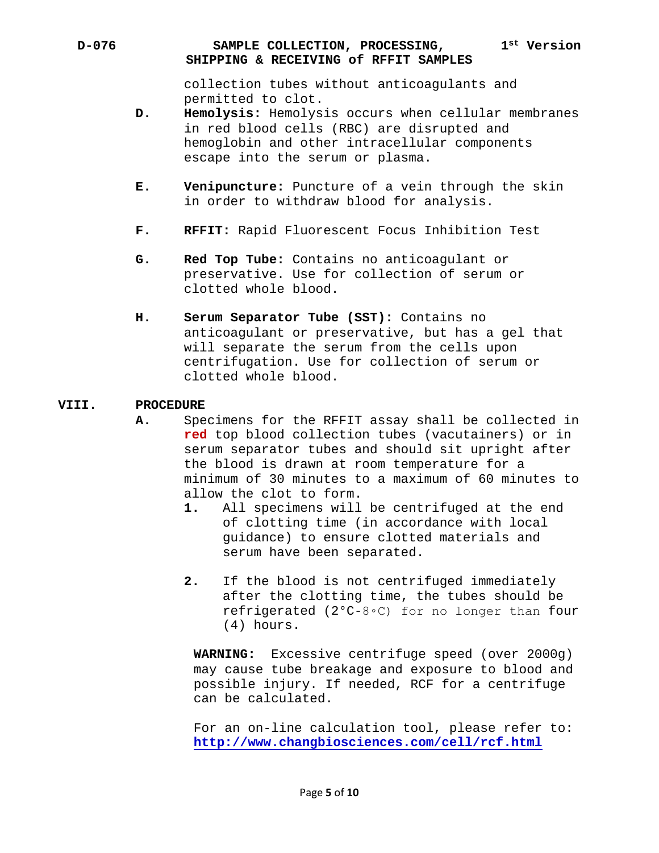> collection tubes without anticoagulants and permitted to clot.

- **D. Hemolysis:** Hemolysis occurs when cellular membranes in red blood cells (RBC) are disrupted and hemoglobin and other intracellular components escape into the serum or plasma.
- **E. Venipuncture:** Puncture of a vein through the skin in order to withdraw blood for analysis.
- **F. RFFIT:** Rapid Fluorescent Focus Inhibition Test
- **G. Red Top Tube:** Contains no anticoagulant or preservative. Use for collection of serum or clotted whole blood.
- **H. Serum Separator Tube (SST):** Contains no anticoagulant or preservative, but has a gel that will separate the serum from the cells upon centrifugation. Use for collection of serum or clotted whole blood.

### **VIII. PROCEDURE**

- **A.** Specimens for the RFFIT assay shall be collected in **red** top blood collection tubes (vacutainers) or in serum separator tubes and should sit upright after the blood is drawn at room temperature for a minimum of 30 minutes to a maximum of 60 minutes to allow the clot to form.
	- **1.** All specimens will be centrifuged at the end of clotting time (in accordance with local guidance) to ensure clotted materials and serum have been separated.
	- **2.** If the blood is not centrifuged immediately after the clotting time, the tubes should be refrigerated (2°C-8◦C) for no longer than four (4) hours.

**WARNING:** Excessive centrifuge speed (over 2000g) may cause tube breakage and exposure to blood and possible injury. If needed, RCF for a centrifuge can be calculated.

For an on-line calculation tool, please refer to: **<http://www.changbiosciences.com/cell/rcf.html>**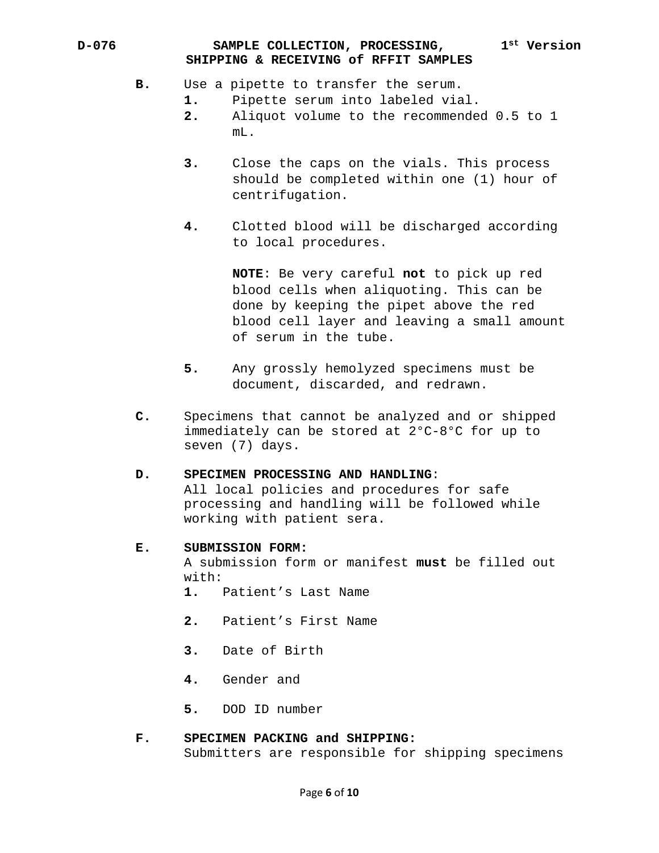- **B.** Use a pipette to transfer the serum.
	- **1.** Pipette serum into labeled vial.
	- **2.** Aliquot volume to the recommended 0.5 to 1  $mL$ .
	- **3.** Close the caps on the vials. This process should be completed within one (1) hour of centrifugation.
	- **4.** Clotted blood will be discharged according to local procedures.

**NOTE**: Be very careful **not** to pick up red blood cells when aliquoting. This can be done by keeping the pipet above the red blood cell layer and leaving a small amount of serum in the tube.

- **5.** Any grossly hemolyzed specimens must be document, discarded, and redrawn.
- **C.** Specimens that cannot be analyzed and or shipped immediately can be stored at 2°C-8°C for up to seven (7) days.

### **D. SPECIMEN PROCESSING AND HANDLING**:

All local policies and procedures for safe processing and handling will be followed while working with patient sera.

### **E. SUBMISSION FORM:**

A submission form or manifest **must** be filled out with:<br>1.

- **1.** Patient's Last Name
- **2.** Patient's First Name
- **3.** Date of Birth
- **4.** Gender and
- **5.** DOD ID number

### **F. SPECIMEN PACKING and SHIPPING:**

Submitters are responsible for shipping specimens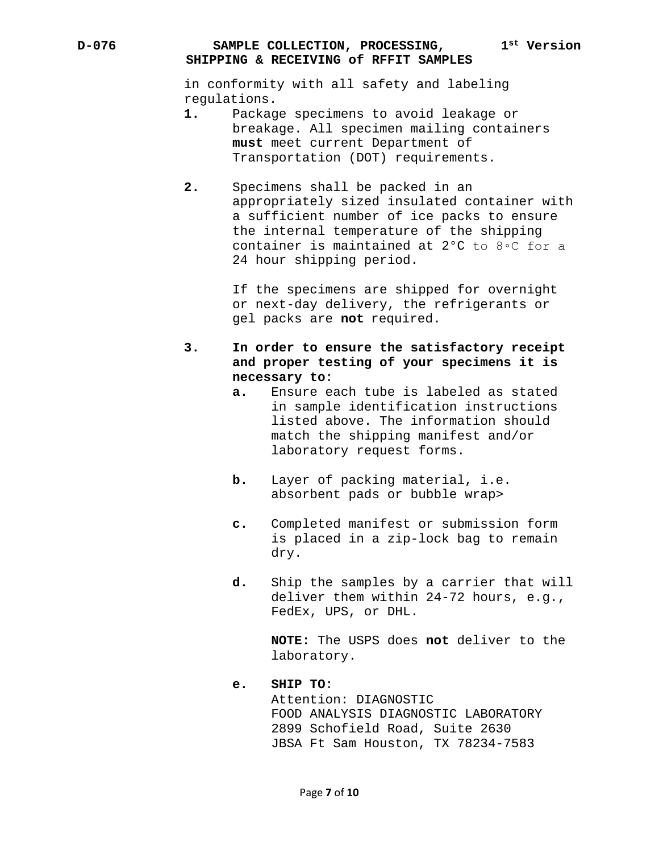in conformity with all safety and labeling regulations.

- **1.** Package specimens to avoid leakage or breakage. All specimen mailing containers **must** meet current Department of Transportation (DOT) requirements.
- **2.** Specimens shall be packed in an appropriately sized insulated container with a sufficient number of ice packs to ensure the internal temperature of the shipping container is maintained at 2°C to 8◦C for a 24 hour shipping period.

If the specimens are shipped for overnight or next-day delivery, the refrigerants or gel packs are **not** required.

- **3. In order to ensure the satisfactory receipt and proper testing of your specimens it is necessary to**:
	- **a.** Ensure each tube is labeled as stated in sample identification instructions listed above. The information should match the shipping manifest and/or laboratory request forms.
	- **b.** Layer of packing material, i.e. absorbent pads or bubble wrap>
	- **c.** Completed manifest or submission form is placed in a zip-lock bag to remain dry.
	- **d.** Ship the samples by a carrier that will deliver them within 24-72 hours, e.g., FedEx, UPS, or DHL.

**NOTE:** The USPS does **not** deliver to the laboratory.

### **e. SHIP TO**:

Attention: DIAGNOSTIC FOOD ANALYSIS DIAGNOSTIC LABORATORY 2899 Schofield Road, Suite 2630 JBSA Ft Sam Houston, TX 78234-7583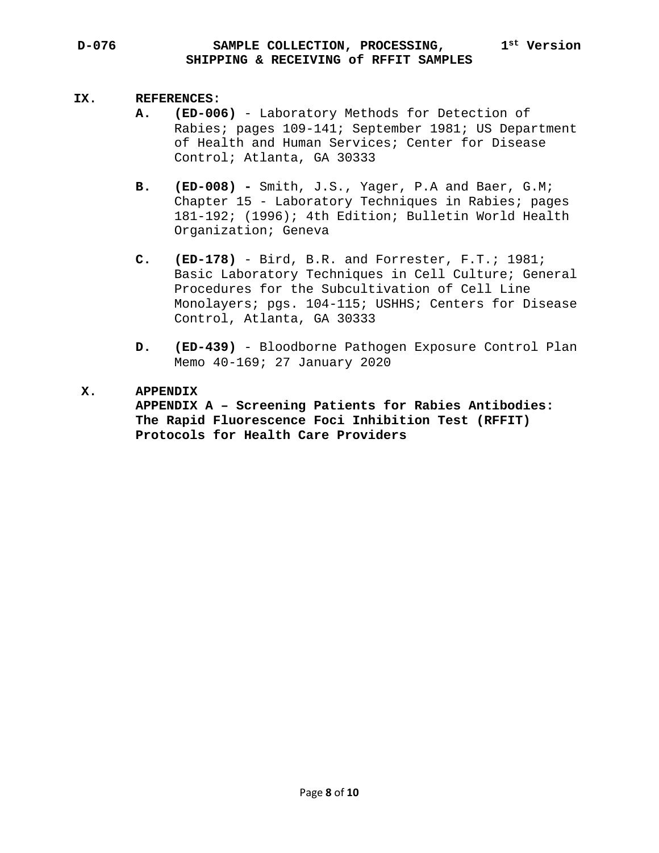#### **IX. REFERENCES:**

- **A. (ED-006)** Laboratory Methods for Detection of Rabies; pages 109-141; September 1981; US Department of Health and Human Services; Center for Disease Control; Atlanta, GA 30333
- **B. (ED-008) -** Smith, J.S., Yager, P.A and Baer, G.M; Chapter 15 - Laboratory Techniques in Rabies; pages 181-192; (1996); 4th Edition; Bulletin World Health Organization; Geneva
- **C. (ED-178)**  Bird, B.R. and Forrester, F.T.; 1981; Basic Laboratory Techniques in Cell Culture; General Procedures for the Subcultivation of Cell Line Monolayers; pgs. 104-115; USHHS; Centers for Disease Control, Atlanta, GA 30333
- **D. (ED-439)** Bloodborne Pathogen Exposure Control Plan Memo 40-169; 27 January 2020

### **X. APPENDIX**

**APPENDIX A – Screening Patients for Rabies Antibodies: The Rapid Fluorescence Foci Inhibition Test (RFFIT) Protocols for Health Care Providers**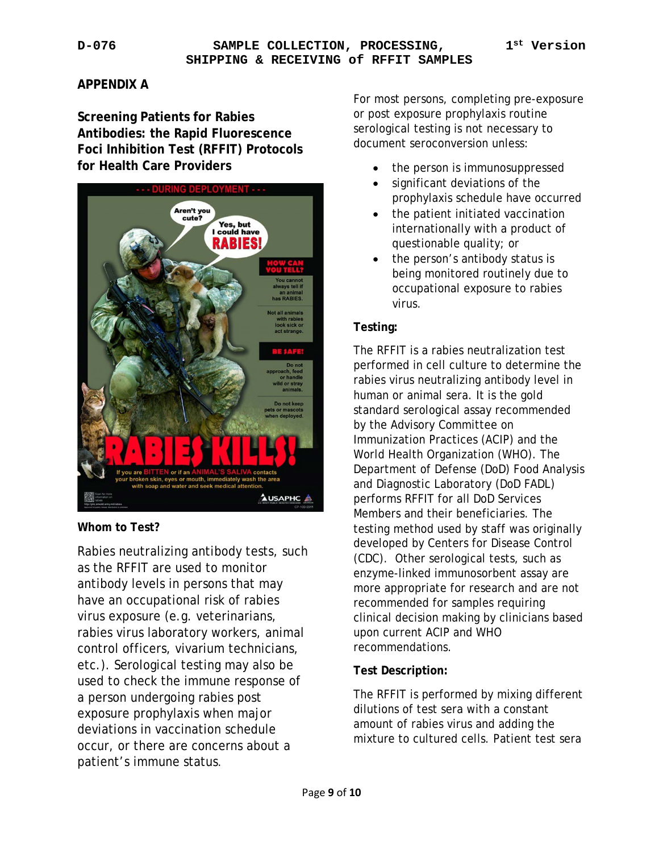## **APPENDIX A**

# **Screening Patients for Rabies Antibodies: the Rapid Fluorescence Foci Inhibition Test (RFFIT) Protocols for Health Care Providers**



### **Whom to Test?**

Rabies neutralizing antibody tests, such as the RFFIT are used to monitor antibody levels in persons that may have an occupational risk of rabies virus exposure (e.g. veterinarians, rabies virus laboratory workers, animal control officers, vivarium technicians, etc.). Serological testing may also be used to check the immune response of a person undergoing rabies post exposure prophylaxis when major deviations in vaccination schedule occur, or there are concerns about a patient's immune status.

For most persons, completing pre-exposure or post exposure prophylaxis routine serological testing is not necessary to document seroconversion unless:

- the person is immunosuppressed
- significant deviations of the prophylaxis schedule have occurred
- the patient initiated vaccination internationally with a product of questionable quality; or
- the person's antibody status is being monitored routinely due to occupational exposure to rabies virus.

# **Testing:**

The RFFIT is a rabies neutralization test performed in cell culture to determine the rabies virus neutralizing antibody level in human or animal sera. It is the gold standard serological assay recommended by the Advisory Committee on Immunization Practices (ACIP) and the World Health Organization (WHO). The Department of Defense (DoD) Food Analysis and Diagnostic Laboratory (DoD FADL) performs RFFIT for all DoD Services Members and their beneficiaries. The testing method used by staff was originally developed by Centers for Disease Control (CDC). Other serological tests, such as enzyme-linked immunosorbent assay are more appropriate for research and are not recommended for samples requiring clinical decision making by clinicians based upon current ACIP and WHO recommendations.

# **Test Description:**

The RFFIT is performed by mixing different dilutions of test sera with a constant amount of rabies virus and adding the mixture to cultured cells. Patient test sera